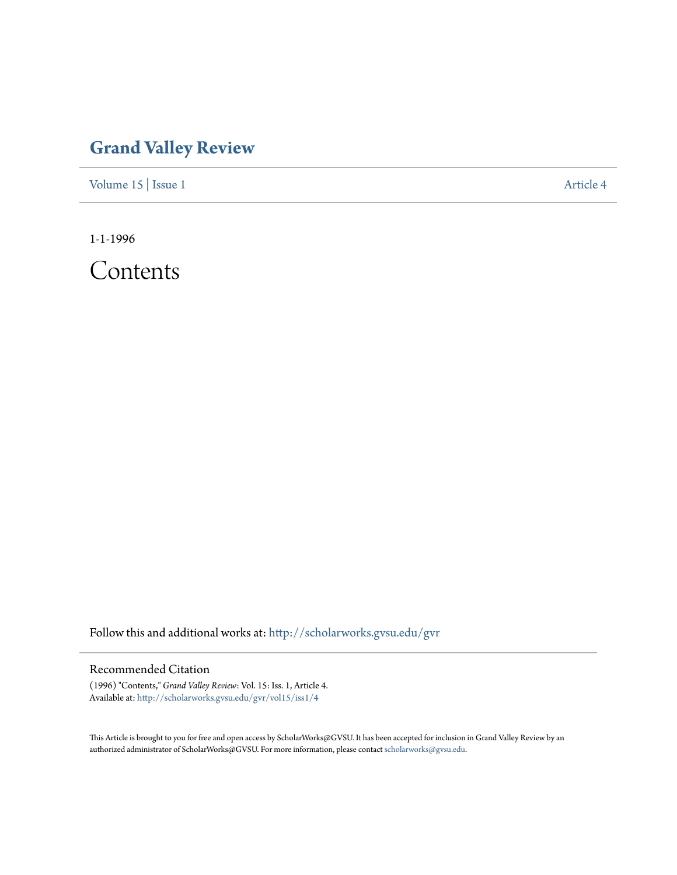## **[Grand Valley Review](http://scholarworks.gvsu.edu/gvr?utm_source=scholarworks.gvsu.edu%2Fgvr%2Fvol15%2Fiss1%2F4&utm_medium=PDF&utm_campaign=PDFCoverPages)**

[Volume 15](http://scholarworks.gvsu.edu/gvr/vol15?utm_source=scholarworks.gvsu.edu%2Fgvr%2Fvol15%2Fiss1%2F4&utm_medium=PDF&utm_campaign=PDFCoverPages) | [Issue 1](http://scholarworks.gvsu.edu/gvr/vol15/iss1?utm_source=scholarworks.gvsu.edu%2Fgvr%2Fvol15%2Fiss1%2F4&utm_medium=PDF&utm_campaign=PDFCoverPages) [Article 4](http://scholarworks.gvsu.edu/gvr/vol15/iss1/4?utm_source=scholarworks.gvsu.edu%2Fgvr%2Fvol15%2Fiss1%2F4&utm_medium=PDF&utm_campaign=PDFCoverPages)

1-1-1996

Contents

Follow this and additional works at: [http://scholarworks.gvsu.edu/gvr](http://scholarworks.gvsu.edu/gvr?utm_source=scholarworks.gvsu.edu%2Fgvr%2Fvol15%2Fiss1%2F4&utm_medium=PDF&utm_campaign=PDFCoverPages)

## Recommended Citation

(1996) "Contents," *Grand Valley Review*: Vol. 15: Iss. 1, Article 4. Available at: [http://scholarworks.gvsu.edu/gvr/vol15/iss1/4](http://scholarworks.gvsu.edu/gvr/vol15/iss1/4?utm_source=scholarworks.gvsu.edu%2Fgvr%2Fvol15%2Fiss1%2F4&utm_medium=PDF&utm_campaign=PDFCoverPages)

This Article is brought to you for free and open access by ScholarWorks@GVSU. It has been accepted for inclusion in Grand Valley Review by an authorized administrator of ScholarWorks@GVSU. For more information, please contact [scholarworks@gvsu.edu.](mailto:scholarworks@gvsu.edu)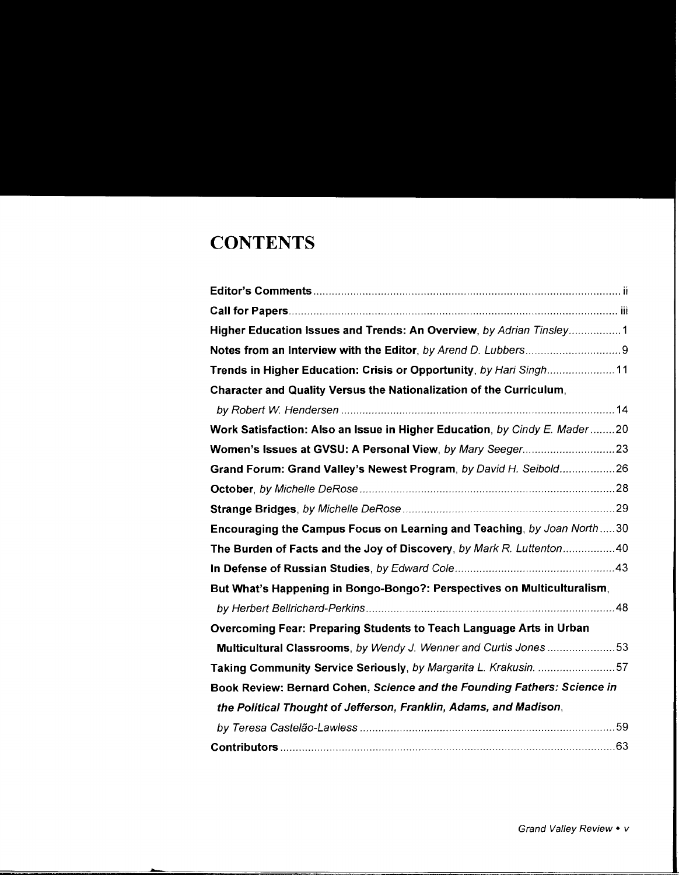## **CONTENTS**

| Higher Education Issues and Trends: An Overview, by Adrian Tinsley1       |
|---------------------------------------------------------------------------|
|                                                                           |
| Trends in Higher Education: Crisis or Opportunity, by Hari Singh11        |
| Character and Quality Versus the Nationalization of the Curriculum,       |
|                                                                           |
| Work Satisfaction: Also an Issue in Higher Education, by Cindy E. Mader20 |
|                                                                           |
| Grand Forum: Grand Valley's Newest Program, by David H. Seibold26         |
|                                                                           |
|                                                                           |
| Encouraging the Campus Focus on Learning and Teaching, by Joan North30    |
| The Burden of Facts and the Joy of Discovery, by Mark R. Luttenton40      |
|                                                                           |
| But What's Happening in Bongo-Bongo?: Perspectives on Multiculturalism,   |
|                                                                           |
| Overcoming Fear: Preparing Students to Teach Language Arts in Urban       |
| Multicultural Classrooms, by Wendy J. Wenner and Curtis Jones 53          |
| Taking Community Service Seriously, by Margarita L. Krakusin. 57          |
| Book Review: Bernard Cohen, Science and the Founding Fathers: Science in  |
| the Political Thought of Jefferson, Franklin, Adams, and Madison,         |
|                                                                           |
|                                                                           |